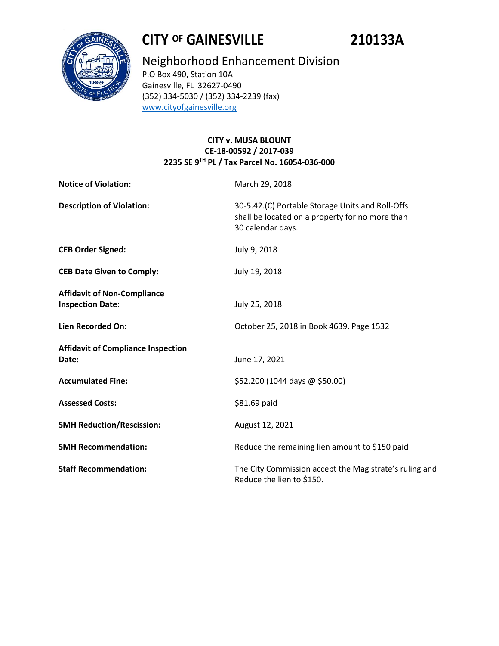

# **CITY OF GAINESVILLE 210133A**

# Neighborhood Enhancement Division P.O Box 490, Station 10A Gainesville, FL 32627-0490

(352) 334-5030 / (352) 334-2239 (fax) [www.cityofgainesville.org](http://www.cityofgainesville.org/)

## **CITY v. MUSA BLOUNT CE-18-00592 / 2017-039 2235 SE 9TH PL / Tax Parcel No. 16054-036-000**

| <b>Notice of Violation:</b>                                   | March 29, 2018                                                                                                           |  |
|---------------------------------------------------------------|--------------------------------------------------------------------------------------------------------------------------|--|
| <b>Description of Violation:</b>                              | 30-5.42.(C) Portable Storage Units and Roll-Offs<br>shall be located on a property for no more than<br>30 calendar days. |  |
| <b>CEB Order Signed:</b>                                      | July 9, 2018                                                                                                             |  |
| <b>CEB Date Given to Comply:</b>                              | July 19, 2018                                                                                                            |  |
| <b>Affidavit of Non-Compliance</b><br><b>Inspection Date:</b> | July 25, 2018                                                                                                            |  |
| Lien Recorded On:                                             | October 25, 2018 in Book 4639, Page 1532                                                                                 |  |
| <b>Affidavit of Compliance Inspection</b><br>Date:            | June 17, 2021                                                                                                            |  |
| <b>Accumulated Fine:</b>                                      | \$52,200 (1044 days @ \$50.00)                                                                                           |  |
| <b>Assessed Costs:</b>                                        | \$81.69 paid                                                                                                             |  |
| <b>SMH Reduction/Rescission:</b>                              | August 12, 2021                                                                                                          |  |
| <b>SMH Recommendation:</b>                                    | Reduce the remaining lien amount to \$150 paid                                                                           |  |
| <b>Staff Recommendation:</b>                                  | The City Commission accept the Magistrate's ruling and<br>Reduce the lien to \$150.                                      |  |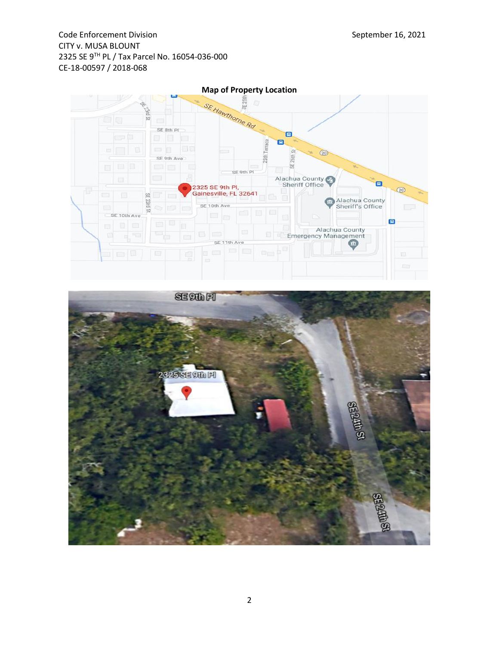Code Enforcement Division **September 16, 2021** CITY v. MUSA BLOUNT 2325 SE 9TH PL / Tax Parcel No. 16054-036-000 CE-18-00597 / 2018-068



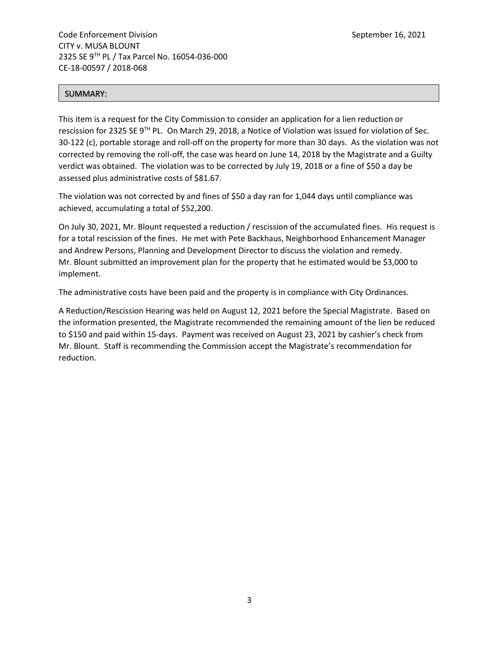#### SUMMARY:

This item is a request for the City Commission to consider an application for a lien reduction or rescission for 2325 SE 9TH PL. On March 29, 2018, a Notice of Violation was issued for violation of Sec. 30-122 (c), portable storage and roll-off on the property for more than 30 days. As the violation was not corrected by removing the roll-off, the case was heard on June 14, 2018 by the Magistrate and a Guilty verdict was obtained. The violation was to be corrected by July 19, 2018 or a fine of \$50 a day be assessed plus administrative costs of \$81.67.

The violation was not corrected by and fines of \$50 a day ran for 1,044 days until compliance was achieved, accumulating a total of \$52,200.

On July 30, 2021, Mr. Blount requested a reduction / rescission of the accumulated fines. His request is for a total rescission of the fines. He met with Pete Backhaus, Neighborhood Enhancement Manager and Andrew Persons, Planning and Development Director to discuss the violation and remedy. Mr. Blount submitted an improvement plan for the property that he estimated would be \$3,000 to implement.

The administrative costs have been paid and the property is in compliance with City Ordinances.

A Reduction/Rescission Hearing was held on August 12, 2021 before the Special Magistrate. Based on the information presented, the Magistrate recommended the remaining amount of the lien be reduced to \$150 and paid within 15-days. Payment was received on August 23, 2021 by cashier's check from Mr. Blount. Staff is recommending the Commission accept the Magistrate's recommendation for reduction.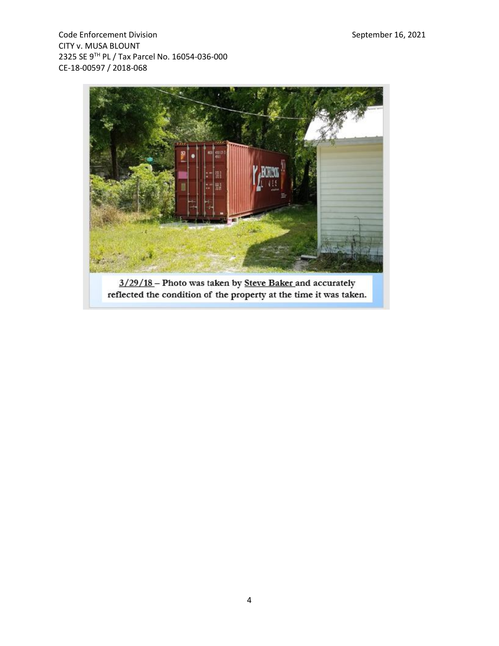Code Enforcement Division Code Enforcement Division CITY v. MUSA BLOUNT 2325 SE 9TH PL / Tax Parcel No. 16054-036-000 CE-18-00597 / 2018-068



3/29/18 - Photo was taken by Steve Baker and accurately reflected the condition of the property at the time it was taken.